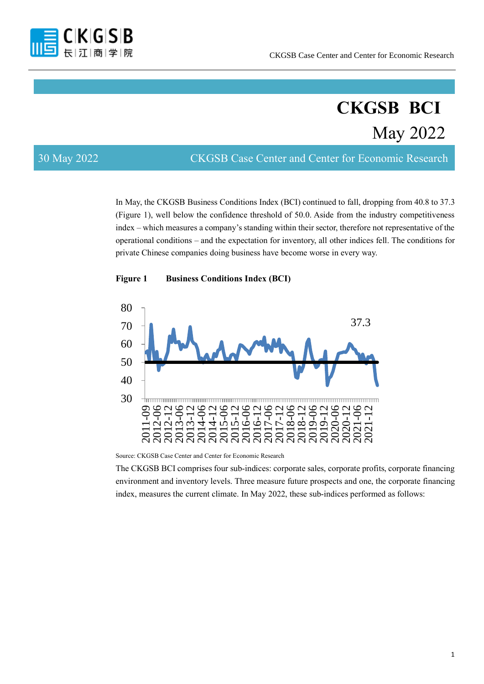

# **CKGSB BCI** May 2022

30 May 2022 CKGSB Case Center and Center for Economic Research

In May, the CKGSB Business Conditions Index (BCI) continued to fall, dropping from 40.8 to 37.3 (Figure 1), well below the confidence threshold of 50.0. Aside from the industry competitiveness index – which measures a company's standing within their sector, therefore not representative of the operational conditions – and the expectation for inventory, all other indices fell. The conditions for private Chinese companies doing business have become worse in every way.





Source: CKGSB Case Center and Center for Economic Research

The CKGSB BCI comprises four sub-indices: corporate sales, corporate profits, corporate financing environment and inventory levels. Three measure future prospects and one, the corporate financing index, measures the current climate. In May 2022, these sub-indices performed as follows: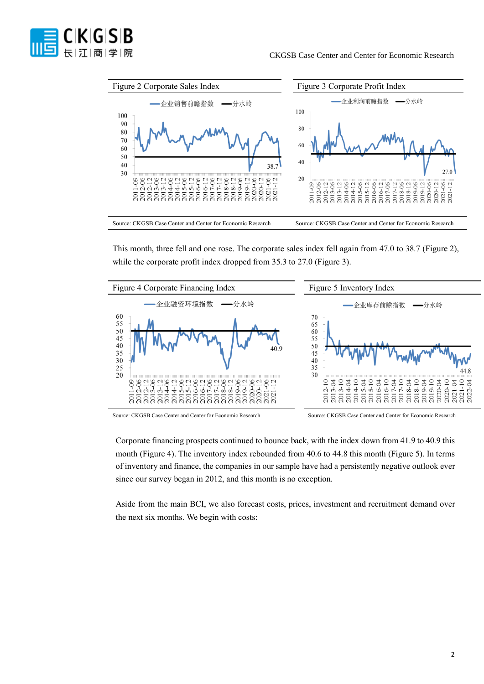



This month, three fell and one rose. The corporate sales index fell again from 47.0 to 38.7 (Figure 2), while the corporate profit index dropped from 35.3 to 27.0 (Figure 3).



Source: CKGSB Case Center and Center for Economic Research Source: CKGSB Case Center and Center for Economic Research

Corporate financing prospects continued to bounce back, with the index down from 41.9 to 40.9 this month (Figure 4). The inventory index rebounded from 40.6 to 44.8 this month (Figure 5). In terms of inventory and finance, the companies in our sample have had a persistently negative outlook ever since our survey began in 2012, and this month is no exception.

Aside from the main BCI, we also forecast costs, prices, investment and recruitment demand over the next six months. We begin with costs: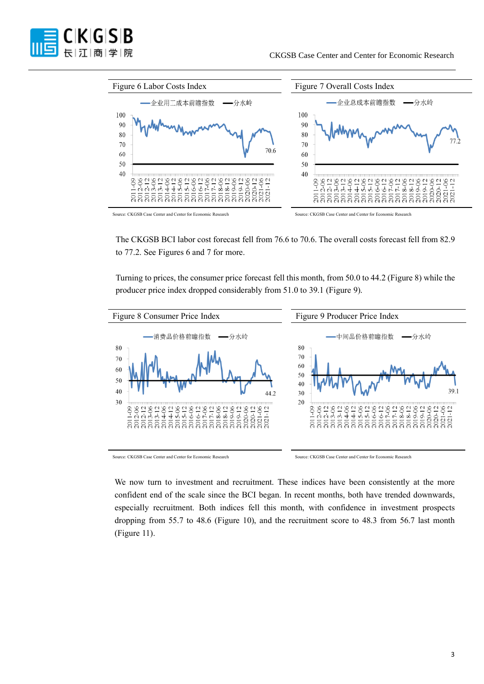



The CKGSB BCI labor cost forecast fell from 76.6 to 70.6. The overall costs forecast fell from 82.9 to 77.2. See Figures 6 and 7 for more.

Turning to prices, the consumer price forecast fell this month, from 50.0 to 44.2 (Figure 8) while the producer price index dropped considerably from 51.0 to 39.1 (Figure 9).



We now turn to investment and recruitment. These indices have been consistently at the more confident end of the scale since the BCI began. In recent months, both have trended downwards, especially recruitment. Both indices fell this month, with confidence in investment prospects dropping from 55.7 to 48.6 (Figure 10), and the recruitment score to 48.3 from 56.7 last month (Figure 11).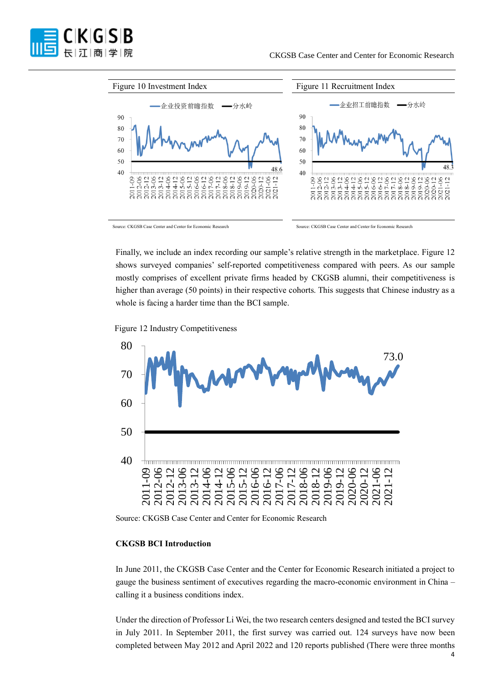



Finally, we include an index recording our sample's relative strength in the marketplace. Figure 12 shows surveyed companies' self-reported competitiveness compared with peers. As our sample mostly comprises of excellent private firms headed by CKGSB alumni, their competitiveness is higher than average (50 points) in their respective cohorts. This suggests that Chinese industry as a whole is facing a harder time than the BCI sample.

Figure 12 Industry Competitiveness



Source: CKGSB Case Center and Center for Economic Research

# **CKGSB BCI Introduction**

In June 2011, the CKGSB Case Center and the Center for Economic Research initiated a project to gauge the business sentiment of executives regarding the macro-economic environment in China – calling it a business conditions index.

Under the direction of Professor Li Wei, the two research centers designed and tested the BCI survey in July 2011. In September 2011, the first survey was carried out. 124 surveys have now been completed between May 2012 and April 2022 and 120 reports published (There were three months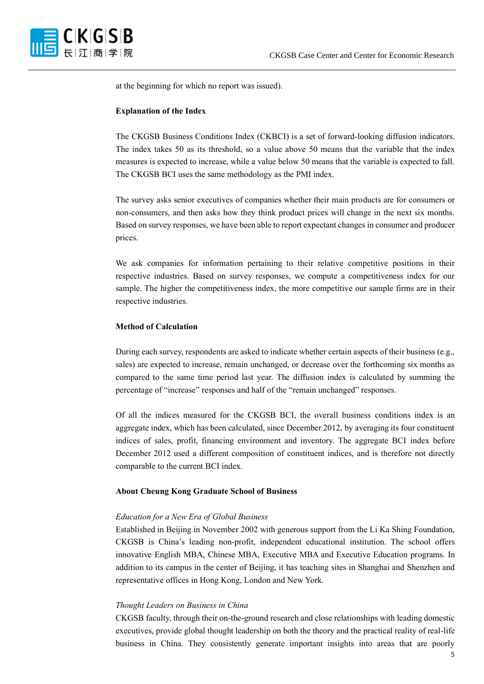

at the beginning for which no report was issued).

# **Explanation of the Index**

The CKGSB Business Conditions Index (CKBCI) is a set of forward-looking diffusion indicators. The index takes 50 as its threshold, so a value above 50 means that the variable that the index measures is expected to increase, while a value below 50 means that the variable is expected to fall. The CKGSB BCI uses the same methodology as the PMI index.

The survey asks senior executives of companies whether their main products are for consumers or non-consumers, and then asks how they think product prices will change in the next six months. Based on survey responses, we have been able to report expectant changes in consumer and producer prices.

We ask companies for information pertaining to their relative competitive positions in their respective industries. Based on survey responses, we compute a competitiveness index for our sample. The higher the competitiveness index, the more competitive our sample firms are in their respective industries.

# **Method of Calculation**

During each survey, respondents are asked to indicate whether certain aspects of their business (e.g., sales) are expected to increase, remain unchanged, or decrease over the forthcoming six months as compared to the same time period last year. The diffusion index is calculated by summing the percentage of "increase" responses and half of the "remain unchanged" responses.

Of all the indices measured for the CKGSB BCI, the overall business conditions index is an aggregate index, which has been calculated, since December 2012, by averaging its four constituent indices of sales, profit, financing environment and inventory. The aggregate BCI index before December 2012 used a different composition of constituent indices, and is therefore not directly comparable to the current BCI index.

### **About Cheung Kong Graduate School of Business**

#### *Education for a New Era of Global Business*

Established in Beijing in November 2002 with generous support from the Li Ka Shing Foundation, CKGSB is China's leading non-profit, independent educational institution. The school offers innovative English MBA, Chinese MBA, Executive MBA and Executive Education programs. In addition to its campus in the center of Beijing, it has teaching sites in Shanghai and Shenzhen and representative offices in Hong Kong, London and New York.

#### *Thought Leaders on Business in China*

CKGSB faculty, through their on-the-ground research and close relationships with leading domestic executives, provide global thought leadership on both the theory and the practical reality of real-life business in China. They consistently generate important insights into areas that are poorly